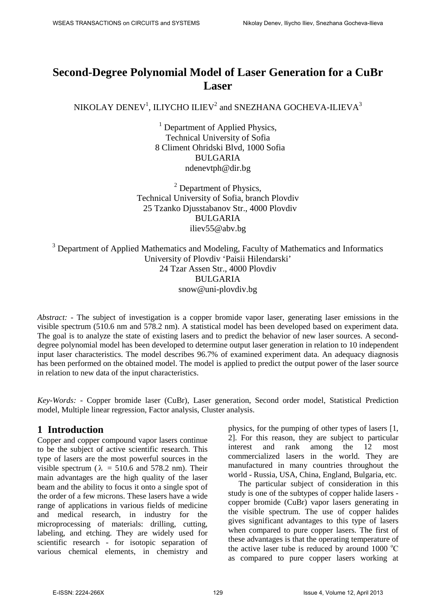# **Second-Degree Polynomial Model of Laser Generation for a CuBr Laser**

NIKOLAY DENEV $^1$ , ILIYCHO ILIEV $^2$  and SNEZHANA GOCHEVA-ILIEVA $^3$ 

 $<sup>1</sup>$  Department of Applied Physics,</sup> Technical University of Sofia 8 Climent Ohridski Blvd, 1000 Sofia BULGARIA ndenevtph@dir.bg

<sup>2</sup> Department of Physics, Technical University of Sofia, branch Plovdiv 25 Tzanko Djusstabanov Str., 4000 Plovdiv BULGARIA iliev55@abv.bg

<sup>3</sup> Department of Applied Mathematics and Modeling, Faculty of Mathematics and Informatics University of Plovdiv 'Paisii Hilendarski' 24 Tzar Assen Str., 4000 Plovdiv BULGARIA snow@uni-plovdiv.bg

*Abstract:* - The subject of investigation is a copper bromide vapor laser, generating laser emissions in the visible spectrum (510.6 nm and 578.2 nm). A statistical model has been developed based on experiment data. The goal is to analyze the state of existing lasers and to predict the behavior of new laser sources. A seconddegree polynomial model has been developed to determine output laser generation in relation to 10 independent input laser characteristics. The model describes 96.7% of examined experiment data. An adequacy diagnosis has been performed on the obtained model. The model is applied to predict the output power of the laser source in relation to new data of the input characteristics.

*Key-Words: -* Copper bromide laser (CuBr), Laser generation, Second order model, Statistical Prediction model, Multiple linear regression, Factor analysis, Cluster analysis.

# **1 Introduction**

Copper and copper compound vapor lasers continue to be the subject of active scientific research. This type of lasers are the most powerful sources in the visible spectrum ( $\lambda$  = 510.6 and 578.2 nm). Their main advantages are the high quality of the laser beam and the ability to focus it onto a single spot of the order of a few microns. These lasers have a wide range of applications in various fields of medicine and medical research, in industry for the microprocessing of materials: drilling, cutting, labeling, and etching. They are widely used for scientific research - for isotopic separation of various chemical elements, in chemistry and physics, for the pumping of other types of lasers [1, 2]. For this reason, they are subject to particular interest and rank among the 12 most commercialized lasers in the world. They are manufactured in many countries throughout the world - Russia, USA, China, England, Bulgaria, etc.

The particular subject of consideration in this study is one of the subtypes of copper halide lasers copper bromide (CuBr) vapor lasers generating in the visible spectrum. The use of copper halides gives significant advantages to this type of lasers when compared to pure copper lasers. The first of these advantages is that the operating temperature of the active laser tube is reduced by around  $1000 °C$ as compared to pure copper lasers working at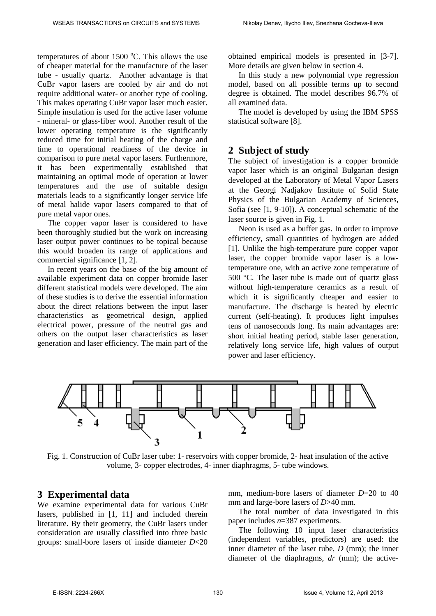temperatures of about  $1500^{\circ}$ C. This allows the use of cheaper material for the manufacture of the laser tube - usually quartz. Another advantage is that CuBr vapor lasers are cooled by air and do not require additional water- or another type of cooling. This makes operating CuBr vapor laser much easier. Simple insulation is used for the active laser volume - mineral- or glass-fiber wool. Another result of the lower operating temperature is the significantly reduced time for initial heating of the charge and time to operational readiness of the device in comparison to pure metal vapor lasers. Furthermore, it has been experimentally established that maintaining an optimal mode of operation at lower temperatures and the use of suitable design materials leads to a significantly longer service life of metal halide vapor lasers compared to that of pure metal vapor ones.

The copper vapor laser is considered to have been thoroughly studied but the work on increasing laser output power continues to be topical because this would broaden its range of applications and commercial significance [1, 2].

In recent years on the base of the big amount of available experiment data on copper bromide laser different statistical models were developed. The aim of these studies is to derive the essential information about the direct relations between the input laser characteristics as geometrical design, applied electrical power, pressure of the neutral gas and others on the output laser characteristics as laser generation and laser efficiency. The main part of the obtained empirical models is presented in [3-7]. More details are given below in section 4.

In this study a new polynomial type regression model, based on all possible terms up to second degree is obtained. The model describes 96.7% of all examined data.

The model is developed by using the IBM SPSS statistical software [8].

### **2 Subject of study**

The subject of investigation is a copper bromide vapor laser which is an original Bulgarian design developed at the Laboratory of Metal Vapor Lasers at the Georgi Nadjakov Institute of Solid State Physics of the Bulgarian Academy of Sciences, Sofia (see [1, 9-10]). A conceptual schematic of the laser source is given in Fig. 1.

Neon is used as a buffer gas. In order to improve efficiency, small quantities of hydrogen are added [1]. Unlike the high-temperature pure copper vapor laser, the copper bromide vapor laser is a lowtemperature one, with an active zone temperature of 500 °C. The laser tube is made out of quartz glass without high-temperature ceramics as a result of which it is significantly cheaper and easier to manufacture. The discharge is heated by electric current (self-heating). It produces light impulses tens of nanoseconds long. Its main advantages are: short initial heating period, stable laser generation, relatively long service life, high values of output power and laser efficiency.



Fig. 1. Construction of CuBr laser tube: 1- reservoirs with copper bromide, 2- heat insulation of the active volume, 3- copper electrodes, 4- inner diaphragms, 5- tube windows.

### **3 Experimental data**

We examine experimental data for various CuBr lasers, published in [1, 11] and included therein literature. By their geometry, the CuBr lasers under consideration are usually classified into three basic groups: small-bore lasers of inside diameter *D*<20 mm, medium-bore lasers of diameter *D*=20 to 40 mm and large-bore lasers of *D*>40 mm.

The total number of data investigated in this paper includes *n*=387 experiments.

The following 10 input laser characteristics (independent variables, predictors) are used: the inner diameter of the laser tube, *D* (mm); the inner diameter of the diaphragms, *dr* (mm); the active-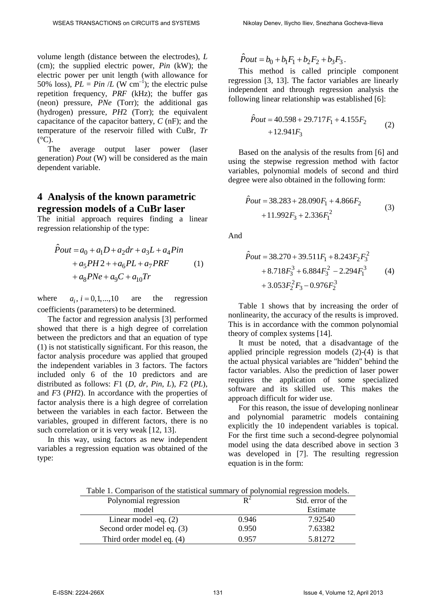volume length (distance between the electrodes), *L* (cm); the supplied electric power, *Pin* (kW); the electric power per unit length (with allowance for 50% loss),  $PL = Pin / L$  (W cm<sup>-1</sup>); the electric pulse repetition frequency, *PRF* (kHz); the buffer gas (neon) pressure, *PNe* (Torr); the additional gas (hydrogen) pressure, *PH*2 (Torr); the equivalent capacitance of the capacitor battery, *C* (nF); and the temperature of the reservoir filled with CuBr, *Tr*  $(^{\circ}C)$ .

The average output laser power (laser generation) *Pout* (W) will be considered as the main dependent variable.

### **4 Analysis of the known parametric regression models of a CuBr laser**

The initial approach requires finding a linear regression relationship of the type:

$$
\hat{P}out = a_0 + a_1D + a_2dr + a_3L + a_4Pin \n+ a_5PH2 + + a_6PL + a_7PRF
$$
\n(1)  
\n+ a\_8PNe + a\_9C + a\_{10}Tr

where  $a_i$ ,  $i = 0,1,...,10$  are the regression coefficients (parameters) to be determined.

The factor and regression analysis [3] performed showed that there is a high degree of correlation between the predictors and that an equation of type (1) is not statistically significant. For this reason, the factor analysis procedure was applied that grouped the independent variables in 3 factors. The factors included only 6 of the 10 predictors and are distributed as follows: *F*1 (*D*, *dr*, *Pin*, *L*), *F*2 (*PL*), and *F*3 (*PH*2). In accordance with the properties of factor analysis there is a high degree of correlation between the variables in each factor. Between the variables, grouped in different factors, there is no such correlation or it is very weak [12, 13].

In this way, using factors as new independent variables a regression equation was obtained of the type:

$$
\hat{P}out = b_0 + b_1F_1 + b_2F_2 + b_3F_3.
$$

This method is called principle component regression [3, 13]. The factor variables are linearly independent and through regression analysis the following linear relationship was established [6]:

$$
\hat{P}out = 40.598 + 29.717F_1 + 4.155F_2 + 12.941F_3
$$
\n(2)

Based on the analysis of the results from [6] and using the stepwise regression method with factor variables, polynomial models of second and third degree were also obtained in the following form:

$$
\hat{P}out = 38.283 + 28.090F_1 + 4.866F_2
$$
  
+11.992F\_3 + 2.336F<sub>1</sub><sup>2</sup> (3)

And

$$
\hat{P}out = 38.270 + 39.511F_1 + 8.243F_2F_3^2
$$
  
+ 8.718F\_3^3 + 6.884F\_3^2 - 2.294F\_1^3 (4)  
+ 3.053F\_2^2F\_3 - 0.976F\_2^3

Table 1 shows that by increasing the order of nonlinearity, the accuracy of the results is improved. This is in accordance with the common polynomial theory of complex systems [14].

It must be noted, that a disadvantage of the applied principle regression models (2)-(4) is that the actual physical variables are "hidden" behind the factor variables. Also the prediction of laser power requires the application of some specialized software and its skilled use. This makes the approach difficult for wider use.

For this reason, the issue of developing nonlinear and polynomial parametric models containing explicitly the 10 independent variables is topical. For the first time such a second-degree polynomial model using the data described above in section 3 was developed in [7]. The resulting regression equation is in the form:

| Table 1. Comparison of the statistical summary of polynomial regression models. |       |                   |
|---------------------------------------------------------------------------------|-------|-------------------|
| Polynomial regression                                                           |       | Std. error of the |
| model                                                                           |       | Estimate          |
| Linear model -eq. $(2)$                                                         | 0.946 | 7.92540           |
| Second order model eq. (3)                                                      | 0.950 | 7.63382           |
| Third order model eq. (4)                                                       | 0.957 | 5.81272           |

Table 1. Comparison of the statistical summary of polynomial regression models.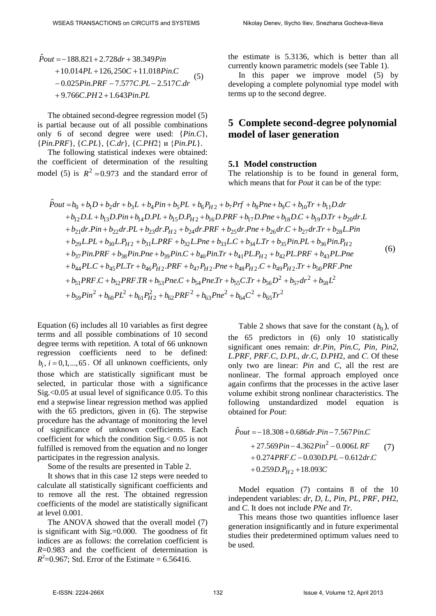$\hat{P}out = -188.821 + 2.728 dr + 38.349 Pin$  $+10.014PL + 126,250C + 11.018Pin.C$ −0.025 Pin.PRF - 7.577 C.PL - 2.517 C.dr +9.766C.PH 2 + 1.643 Pin.PL (5)

The obtained second-degree regression model (5) is partial because out of all possible combinations only 6 of second degree were used: {*Pin.C*}, {*Pin.PRF*}, {*C.PL*}, {*C.dr*}, {*C.PH*2} и {*Pin.PL*}.

The following statistical indexes were obtained: the coefficient of determination of the resulting model (5) is  $R^2 = 0.973$  and the standard error of the estimate is 5.3136, which is better than all currently known parametric models (see Table 1).

In this paper we improve model (5) by developing a complete polynomial type model with terms up to the second degree.

## **5 Complete second-degree polynomial model of laser generation**

#### **5.1 Model construction**

The relationship is to be found in general form, which means that for *Pout* it can be of the type:

$$
\hat{P}_{out} = b_0 + b_1 D + b_2 dr + b_3 L + b_4 P in + b_5 PL + b_6 P_{H2} + b_7 Prf + b_8 P ne + b_9 C + b_{10} Tr + b_{11} D dr \n+ b_{12} D.L + b_{13} D.P in + b_{14} D.PL + b_{15} D.P_{H2} + b_{16} D.PRF + b_{17} D.Pne + b_{18} D.C + b_{19} D.Tr + b_{20} dr.L \n+ b_{21} dr.P in + b_{22} dr.PL + b_{23} dr.P_{H2} + b_{24} dr.PRF + b_{25} dr.Pne + b_{26} dr.C + b_{27} dr.Tr + b_{28} L.Pin \n+ b_{29} L.PL + b_{30} L.P_{H2} + b_{31} L.PRF + b_{32} L.Pne + b_{33} L.C + b_{34} L.Tr + b_{35} Pin.PL + b_{36} Pin.P_{H2} \n+ b_{37} Pin.PRF + b_{38} Pin.Pne + b_{39} Pin.C + b_{40} Pin.Tr + b_{41} PL.P_{H2} + b_{42} PL.PRF + b_{43} PL.Pne \n+ b_{44} PL.C + b_{45} PL.Tr + b_{46} P_{H2}. PRF + b_{47} P_{H2}. Pne + b_{48} P_{H2}.C + b_{49} P_{H2}.Tr + b_{50} PRF.Pne \n+ b_{51} PRF.C + b_{52} PRF.TR + b_{53} Pne.C + b_{54} Pne.Tr + b_{55} C.Tr + b_{56} D^2 + b_{57} dr^2 + b_{58} L^2 \n+ b_{59} Pin^2 + b_{60} PL^2 + b_{61} P_{H2}^2 + b_{62} PRF^2 + b_{63} Pne^2 + b_{64} C^2 + b_{65} Tr^2
$$
\n(6)

Equation (6) includes all 10 variables as first degree terms and all possible combinations of 10 second degree terms with repetition. A total of 66 unknown regression coefficients need to be defined:  $b_i$ ,  $i = 0,1,...,65$ . Of all unknown coefficients, only those which are statistically significant must be selected, in particular those with a significance Sig.<0.05 at usual level of significance 0.05. To this end a stepwise linear regression method was applied with the 65 predictors, given in (6). The stepwise procedure has the advantage of monitoring the level of significance of unknown coefficients. Each coefficient for which the condition Sig.< 0.05 is not fulfilled is removed from the equation and no longer participates in the regression analysis.

Some of the results are presented in Table 2.

It shows that in this case 12 steps were needed to calculate all statistically significant coefficients and to remove all the rest. The obtained regression coefficients of the model are statistically significant at level 0.001.

The ANOVA showed that the overall model (7) is significant with  $Sig = 0.000$ . The goodness of fit indices are as follows: the correlation coefficient is *R*=0.983 and the coefficient of determination is  $R^2$ =0.967; Std. Error of the Estimate = 6.56416.

Table 2 shows that save for the constant  $(b_0)$ , of the 65 predictors in (6) only 10 statistically significant ones remain: *dr.Pin, Pin.C, Pin, Pin2, L.PRF, PRF.C, D.PL, dr.C, D.PH*2, and *С*. Of these only two are linear: *Pin* and *C*, all the rest are nonlinear. The formal approach employed once again confirms that the processes in the active laser volume exhibit strong nonlinear characteristics. The following unstandardized model equation is obtained for *Pout*:

$$
\hat{P}out = -18.308 + 0.686 dr. Pin - 7.567 Pin. C \n+ 27.569 Pin - 4.362 Pin2 - 0.006 L RF \n+ 0.274 PRF.C - 0.030 D. PL - 0.612 dr. C \n+ 0.259 D. PH2 + 18.093 C
$$
\n(7)

Model equation (7) contains 8 of the 10 independent variables: *dr*, *D*, *L*, *Pin*, *PL*, *PRF*, *PH*2, and *C*. It does not include *PNe* and *Tr*.

This means those two quantities influence laser generation insignificantly and in future experimental studies their predetermined optimum values need to be used.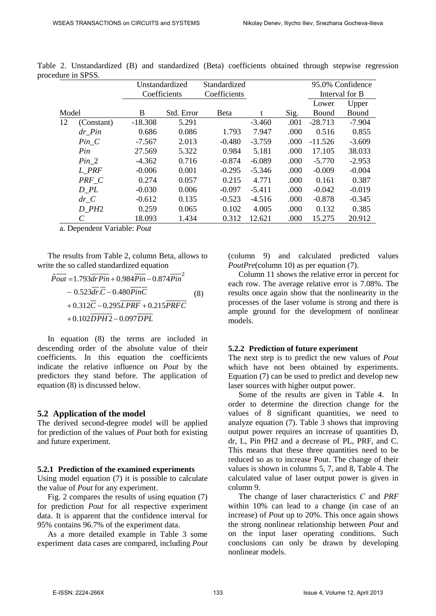|       |                         | Unstandardized |            | Standardized |          |      |           | 95.0% Confidence |
|-------|-------------------------|----------------|------------|--------------|----------|------|-----------|------------------|
|       |                         | Coefficients   |            | Coefficients |          |      |           | Interval for B   |
|       |                         |                |            |              |          |      | Lower     | Upper            |
| Model |                         | B              | Std. Error | <b>B</b> eta | t        | Sig. | Bound     | Bound            |
| 12    | (Constant)              | $-18.308$      | 5.291      |              | $-3.460$ | .001 | $-28.713$ | $-7.904$         |
|       | $dr$ <sup>-</sup> $Pin$ | 0.686          | 0.086      | 1.793        | 7.947    | .000 | 0.516     | 0.855            |
|       | $Pin_C$                 | $-7.567$       | 2.013      | $-0.480$     | $-3.759$ | .000 | $-11.526$ | $-3.609$         |
|       | Pin                     | 27.569         | 5.322      | 0.984        | 5.181    | .000 | 17.105    | 38.033           |
|       | $Pin_2$                 | $-4.362$       | 0.716      | $-0.874$     | $-6.089$ | .000 | $-5.770$  | $-2.953$         |
|       | L PRF                   | $-0.006$       | 0.001      | $-0.295$     | $-5.346$ | .000 | $-0.009$  | $-0.004$         |
|       | PRF C                   | 0.274          | 0.057      | 0.215        | 4.771    | .000 | 0.161     | 0.387            |
|       | $D$ <sub>-</sub> $PL$   | $-0.030$       | 0.006      | $-0.097$     | $-5.411$ | .000 | $-0.042$  | $-0.019$         |
|       | dr C                    | $-0.612$       | 0.135      | $-0.523$     | $-4.516$ | .000 | $-0.878$  | $-0.345$         |
|       | $D$ <sub>-</sub> $PH2$  | 0.259          | 0.065      | 0.102        | 4.005    | .000 | 0.132     | 0.385            |
|       | C                       | 18.093         | 1.434      | 0.312        | 12.621   | .000 | 15.275    | 20.912           |

Table 2. Unstandardized (B) and standardized (Beta) coefficients obtained through stepwise regression procedure in SPSS.

a. Dependent Variable: *Pout*

The results from Table 2, column Beta, allows to write the so called standardized equation

$$
\hat{P}_{out} = 1.793 \overline{dr P_{in}} + 0.984 \overline{Pin} - 0.874 \overline{Pin}^{2}
$$
  
- 0.523 \overline{dr} \cdot \overline{C} - 0.480 \overline{PinC}  
+ 0.312 \overline{C} - 0.295 \overline{LPRF} + 0.215 \overline{PRFC}  
+ 0.102 \overline{DPH2} - 0.097 \overline{DPL}\n(8)

In equation (8) the terms are included in descending order of the absolute value of their coefficients. In this equation the coefficients indicate the relative influence on *Pout* by the predictors they stand before. The application of equation (8) is discussed below.

#### **5.2 Application of the model**

The derived second-degree model will be applied for prediction of the values of *Pout* both for existing and future experiment.

#### **5.2.1 Prediction of the examined experiments**

Using model equation (7) it is possible to calculate the value of *Pout* for any experiment.

Fig. 2 compares the results of using equation (7) for prediction *Pout* for all respective experiment data. It is apparent that the confidence interval for 95% contains 96.7% of the experiment data.

As a more detailed example in Table 3 some experiment data cases are compared, including *Pout* (column 9) and calculated predicted values *PoutPre*(column 10) as per equation (7).

Column 11 shows the relative error in percent for each row. The average relative error is 7.08%. The results once again show that the nonlinearity in the processes of the laser volume is strong and there is ample ground for the development of nonlinear models.

#### **5.2.2 Prediction of future experiment**

The next step is to predict the new values of *Pout* which have not been obtained by experiments. Equation (7) can be used to predict and develop new laser sources with higher output power.

Some of the results are given in Table 4. In order to determine the direction change for the values of 8 significant quantities, we need to analyze equation (7). Table 3 shows that improving output power requires an increase of quantities D, dr, L, Pin PH2 and a decrease of PL, PRF, and C. This means that these three quantities need to be reduced so as to increase Pout. The change of their values is shown in columns 5, 7, and 8, Table 4. The calculated value of laser output power is given in column 9.

The change of laser characteristics *С* and *PRF* within 10% can lead to a change (in case of an increase) of *Pout* up to 20%. This once again shows the strong nonlinear relationship between *Pout* and on the input laser operating conditions. Such conclusions can only be drawn by developing nonlinear models.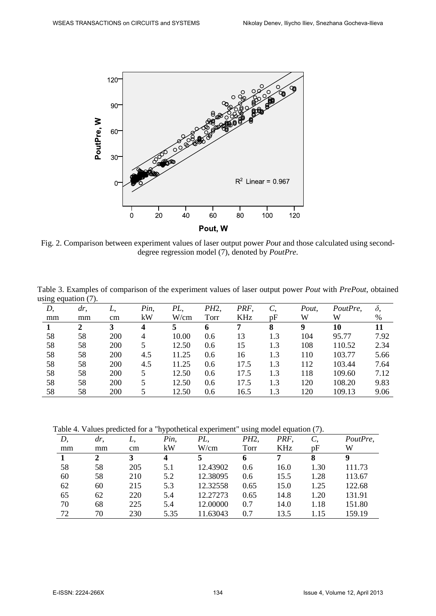

Fig. 2. Comparison between experiment values of laser output power *Pout* and those calculated using seconddegree regression model (7), denoted by *PoutPre*.

Table 3. Examples of comparison of the experiment values of laser output power *Pout* with *PrePout*, obtained using equation (7).

| ັ  |        |            |      |       |      |      |     |       |          |            |
|----|--------|------------|------|-------|------|------|-----|-------|----------|------------|
| D, | $dr$ , | L.         | Pin, | PL.   | PH2, | PRF. | C,  | Pout, | PoutPre, | $\delta$ , |
| mm | mm     | cm         | kW   | W/cm  | Torr | KHz  | pF  | W     | W        | %          |
|    | 2      | 3          | 4    |       | 6    |      | 8   | 9     | 10       | 11         |
| 58 | 58     | <b>200</b> | 4    | 10.00 | 0.6  | 13   | 1.3 | 104   | 95.77    | 7.92       |
| 58 | 58     | <b>200</b> | 5    | 12.50 | 0.6  | 15   | 1.3 | 108   | 110.52   | 2.34       |
| 58 | 58     | 200        | 4.5  | 11.25 | 0.6  | 16   | 1.3 | 110   | 103.77   | 5.66       |
| 58 | 58     | <b>200</b> | 4.5  | 11.25 | 0.6  | 17.5 | 1.3 | 112   | 103.44   | 7.64       |
| 58 | 58     | <b>200</b> | 5.   | 12.50 | 0.6  | 17.5 | 1.3 | 118   | 109.60   | 7.12       |
| 58 | 58     | <b>200</b> |      | 12.50 | 0.6  | 17.5 | 1.3 | 120   | 108.20   | 9.83       |
| 58 | 58     | 200        |      | 12.50 | 0.6  | 16.5 | 1.3 | 120   | 109.13   | 9.06       |

Table 4. Values predicted for a "hypothetical experiment" using model equation (7).

| D, | dr.          | L.  | . .<br>Pin, | PL,      | ັ<br>PH2, | PRF. | $\sim$ $\sim$<br>$\mathcal{C}$ | PoutPre, |
|----|--------------|-----|-------------|----------|-----------|------|--------------------------------|----------|
| mm | mm           | cm  | kW          | W/cm     | Torr      | KHz  | pF                             | W        |
|    | $\mathbf{2}$ | 3   | 4           |          | 6         | 7    | 8                              | 9        |
| 58 | 58           | 205 | 5.1         | 12.43902 | 0.6       | 16.0 | 1.30                           | 111.73   |
| 60 | 58           | 210 | 5.2         | 12.38095 | 0.6       | 15.5 | 1.28                           | 113.67   |
| 62 | 60           | 215 | 5.3         | 12.32558 | 0.65      | 15.0 | 1.25                           | 122.68   |
| 65 | 62           | 220 | 5.4         | 12.27273 | 0.65      | 14.8 | 1.20                           | 131.91   |
| 70 | 68           | 225 | 5.4         | 12.00000 | 0.7       | 14.0 | 1.18                           | 151.80   |
| 72 | 70           | 230 | 5.35        | 11.63043 | 0.7       | 13.5 | 1.15                           | 159.19   |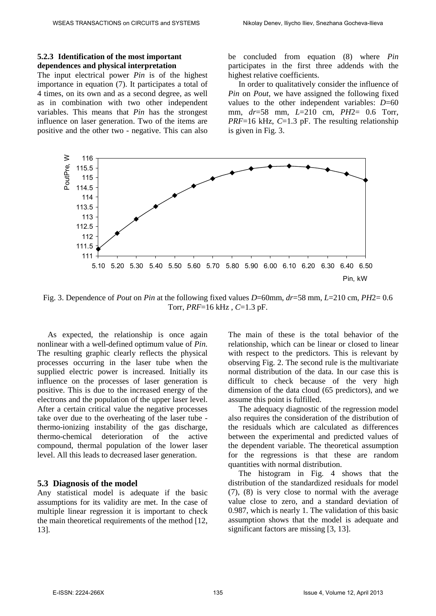#### **5.2.3 Identification of the most important dependences and physical interpretation**

The input electrical power *Pin* is of the highest importance in equation (7). It participates a total of 4 times, on its own and as a second degree, as well as in combination with two other independent variables. This means that *Pin* has the strongest influence on laser generation. Two of the items are positive and the other two - negative. This can also be concluded from equation (8) where *Pin* participates in the first three addends with the highest relative coefficients.

In order to qualitatively consider the influence of *Pin* on *Pout*, we have assigned the following fixed values to the other independent variables: *D*=60 mm, *dr*=58 mm, *L*=210 cm, *PH*2= 0.6 Torr, *PRF*=16 kHz, *C*=1.3 pF. The resulting relationship is given in Fig. 3.



Fig. 3. Dependence of *Pout* on *Pin* at the following fixed values *D*=60mm, *dr*=58 mm, *L*=210 cm, *PH*2= 0.6 Torr, *PRF*=16 kHz , *C*=1.3 pF.

As expected, the relationship is once again nonlinear with a well-defined optimum value of *Pin*. The resulting graphic clearly reflects the physical processes occurring in the laser tube when the supplied electric power is increased. Initially its influence on the processes of laser generation is positive. This is due to the increased energy of the electrons and the population of the upper laser level. After a certain critical value the negative processes take over due to the overheating of the laser tube thermo-ionizing instability of the gas discharge, thermo-chemical deterioration of the active compound, thermal population of the lower laser level. All this leads to decreased laser generation.

#### **5.3 Diagnosis of the model**

Any statistical model is adequate if the basic assumptions for its validity are met. In the case of multiple linear regression it is important to check the main theoretical requirements of the method [12, 13].

The main of these is the total behavior of the relationship, which can be linear or closed to linear with respect to the predictors. This is relevant by observing Fig. 2. The second rule is the multivariate normal distribution of the data. In our case this is difficult to check because of the very high dimension of the data cloud (65 predictors), and we assume this point is fulfilled.

The adequacy diagnostic of the regression model also requires the consideration of the distribution of the residuals which are calculated as differences between the experimental and predicted values of the dependent variable. The theoretical assumption for the regressions is that these are random quantities with normal distribution.

The histogram in Fig. 4 shows that the distribution of the standardized residuals for model (7), (8) is very close to normal with the average value close to zero, and a standard deviation of 0.987, which is nearly 1. The validation of this basic assumption shows that the model is adequate and significant factors are missing [3, 13].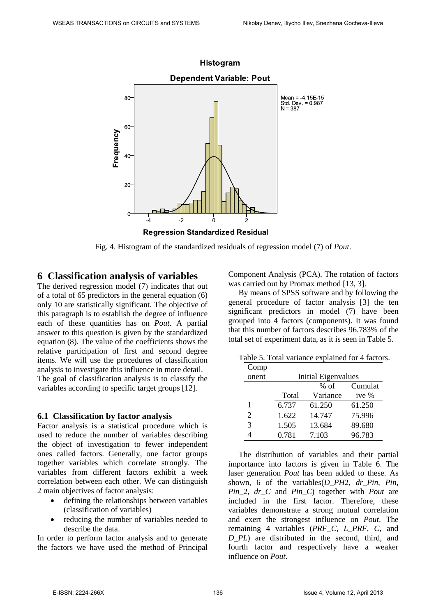

Fig. 4. Histogram of the standardized residuals of regression model (7) of *Pout*.

### **6 Classification analysis of variables**

The derived regression model (7) indicates that out of a total of 65 predictors in the general equation (6) only 10 are statistically significant. The objective of this paragraph is to establish the degree of influence each of these quantities has on *Pout*. A partial answer to this question is given by the standardized equation (8). The value of the coefficients shows the relative participation of first and second degree items. We will use the procedures of classification analysis to investigate this influence in more detail. The goal of classification analysis is to classify the variables according to specific target groups [12].

### **6.1 Classification by factor analysis**

Factor analysis is a statistical procedure which is used to reduce the number of variables describing the object of investigation to fewer independent ones called factors. Generally, one factor groups together variables which correlate strongly. The variables from different factors exhibit a week correlation between each other. We can distinguish 2 main objectives of factor analysis:

- defining the relationships between variables (classification of variables)
- reducing the number of variables needed to describe the data.

In order to perform factor analysis and to generate the factors we have used the method of Principal Component Analysis (PCA). The rotation of factors was carried out by Promax method [13, 3].

By means of SPSS software and by following the general procedure of factor analysis [3] the ten significant predictors in model (7) have been grouped into 4 factors (components). It was found that this number of factors describes 96.783% of the total set of experiment data, as it is seen in Table 5.

|                |  | Table 5. Total variance explained for 4 factors. |  |
|----------------|--|--------------------------------------------------|--|
| $C_{\alpha m}$ |  |                                                  |  |

| $\mathsf{C}\mathrm{O}\mathrm{Hip}$ |       |                     |        |  |  |  |  |  |
|------------------------------------|-------|---------------------|--------|--|--|--|--|--|
| onent                              |       | Initial Eigenvalues |        |  |  |  |  |  |
|                                    |       | $%$ of              |        |  |  |  |  |  |
|                                    | Total | Variance            | ive %  |  |  |  |  |  |
| 1                                  | 6.737 | 61.250              | 61.250 |  |  |  |  |  |
| $\overline{2}$                     | 1.622 | 14.747              | 75.996 |  |  |  |  |  |
| 3                                  | 1.505 | 13.684              | 89.680 |  |  |  |  |  |
|                                    | 0.781 | 7.103               | 96.783 |  |  |  |  |  |

The distribution of variables and their partial importance into factors is given in Table 6. The laser generation *Pout* has been added to these. As shown, 6 of the variables(*D\_PH*2, *dr\_Pin*, *Pin*, *Pin*\_2, *dr\_C* and *Pin\_C*) together with *Pout* are included in the first factor. Therefore, these variables demonstrate a strong mutual correlation and exert the strongest influence on *Pout*. The remaining 4 variables (*PRF\_C*, *L\_PRF*, *C*, and *D\_PL*) are distributed in the second, third, and fourth factor and respectively have a weaker influence on *Pout*.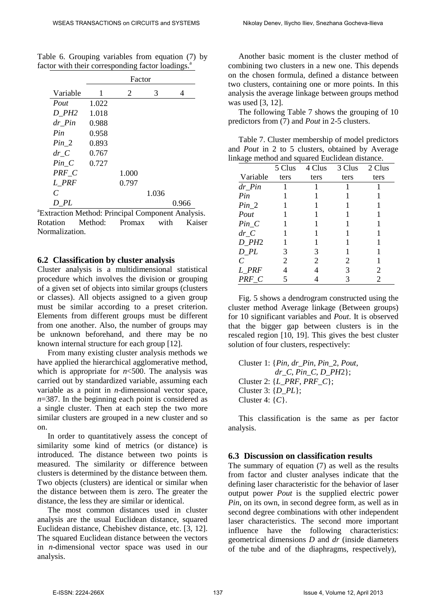|                             |       | Factor |       |       |
|-----------------------------|-------|--------|-------|-------|
| Variable                    | 1     | 2      | 3     | 4     |
| Pout                        | 1.022 |        |       |       |
| D PH <sub>2</sub>           | 1.018 |        |       |       |
| $dr$ <sub>-</sub> $Pin$     | 0.988 |        |       |       |
| Pin                         | 0.958 |        |       |       |
| $Pin_2$                     | 0.893 |        |       |       |
| $dr\_C$                     | 0.767 |        |       |       |
| $Pin_C$                     | 0.727 |        |       |       |
| PRF C                       |       | 1.000  |       |       |
| L PRF                       |       | 0.797  |       |       |
| $\mathcal{C}_{\mathcal{C}}$ |       |        | 1.036 |       |
| D PL                        |       |        |       | 0.966 |

Table 6. Grouping variables from equation (7) by factor with their corresponding factor loadings.<sup>a</sup>

a Extraction Method: Principal Component Analysis. Rotation Method: Promax with Kaiser Normalization.

#### **6.2 Classification by cluster analysis**

Cluster analysis is a multidimensional statistical procedure which involves the division or grouping of a given set of objects into similar groups (clusters or classes). All objects assigned to a given group must be similar according to a preset criterion. Elements from different groups must be different from one another. Also, the number of groups may be unknown beforehand, and there may be no known internal structure for each group [12].

From many existing cluster analysis methods we have applied the hierarchical agglomerative method, which is appropriate for  $n<$  500. The analysis was carried out by standardized variable, assuming each variable as a point in *n*-dimensional vector space, *n*=387. In the beginning each point is considered as a single cluster. Then at each step the two more similar clusters are grouped in a new cluster and so on.

In order to quantitatively assess the concept of similarity some kind of metrics (or distance) is introduced. The distance between two points is measured. The similarity or difference between clusters is determined by the distance between them. Two objects (clusters) are identical or similar when the distance between them is zero. The greater the distance, the less they are similar or identical.

The most common distances used in cluster analysis are the usual Euclidean distance, squared Euclidean distance, Chebishev distance, etc. [3, 12]. The squared Euclidean distance between the vectors in *n*-dimensional vector space was used in our analysis.

Another basic moment is the cluster method of combining two clusters in a new one. This depends on the chosen formula, defined a distance between two clusters, containing one or more points. In this analysis the average linkage between groups method was used [3, 12].

The following Table 7 shows the grouping of 10 predictors from (7) and *Pout* in 2-5 clusters.

Table 7. Cluster membership of model predictors and *Pout* in 2 to 5 clusters, obtained by Average linkage method and squared Euclidean distance.

|                         | 5 Clus | 4 Clus | 3 Clus | 2 Clus |
|-------------------------|--------|--------|--------|--------|
| Variable                | ters   | ters   | ters   | ters   |
| $dr$ <sup>-</sup> $Pin$ |        |        |        |        |
| Pin                     |        |        |        |        |
| $Pin_2$                 |        |        |        |        |
| Pout                    |        |        |        |        |
| $Pin_C$                 |        |        |        |        |
| $dr\_C$                 |        |        |        |        |
| $D$ <sub>-PH2</sub>     |        |        |        |        |
| $D$ <sub>-</sub> $PL$   | 3      | 3      |        |        |
| $\overline{C}$          | 2      | 2      | 2      |        |
| L_PRF                   |        |        | 3      | 2      |
| $PRF_C$                 |        |        | 3      | 2      |

Fig. 5 shows a dendrogram constructed using the cluster method Average linkage (Between groups) for 10 significant variables and *Pout*. It is observed that the bigger gap between clusters is in the rescaled region [10, 19]. This gives the best cluster solution of four clusters, respectively:

Cluster 1: {*Pin, dr\_Pin*, *Pin\_*2, *Pout*, *dr\_C*, *Pin\_C*, *D\_PH*2}; Cluster 2: {*L\_PRF*, *PRF\_C*}; Cluster 3: {*D\_PL*}; Cluster 4: {*C*}.

This classification is the same as per factor analysis.

#### **6.3 Discussion on classification results**

The summary of equation (7) as well as the results from factor and cluster analyses indicate that the defining laser characteristic for the behavior of laser output power *Pout* is the supplied electric power *Pin*, on its own, in second degree form, as well as in second degree combinations with other independent laser characteristics. The second more important influence have the following characteristics: geometrical dimensions *D* and *dr* (inside diameters of the tube and of the diaphragms, respectively),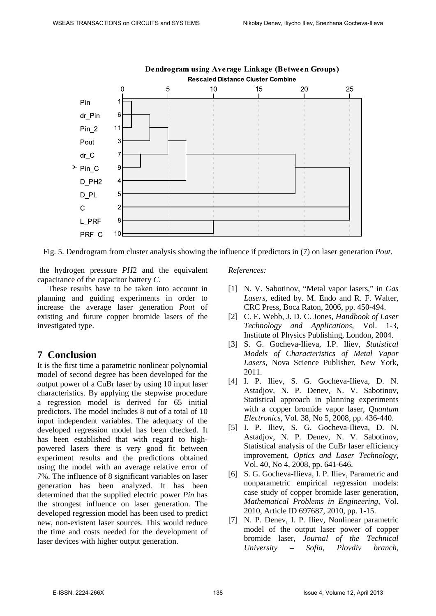

Fig. 5. Dendrogram from cluster analysis showing the influence if predictors in (7) on laser generation *Pout*.

the hydrogen pressure *PH*2 and the equivalent capacitance of the capacitor battery *C*.

These results have to be taken into account in planning and guiding experiments in order to increase the average laser generation *Pout* of existing and future copper bromide lasers of the investigated type.

# **7 Conclusion**

It is the first time a parametric nonlinear polynomial model of second degree has been developed for the output power of a CuBr laser by using 10 input laser characteristics. By applying the stepwise procedure a regression model is derived for 65 initial predictors. The model includes 8 out of a total of 10 input independent variables. The adequacy of the developed regression model has been checked. It has been established that with regard to highpowered lasers there is very good fit between experiment results and the predictions obtained using the model with an average relative error of 7%. The influence of 8 significant variables on laser generation has been analyzed. It has been determined that the supplied electric power *Pin* has the strongest influence on laser generation. The developed regression model has been used to predict new, non-existent laser sources. This would reduce the time and costs needed for the development of laser devices with higher output generation.

#### *References:*

- [1] N. V. Sabotinov, "Metal vapor lasers," in *Gas Lasers*, edited by. M. Endo and R. F. Walter, CRC Press, Boca Raton, 2006, pp. 450-494.
- [2] C. E. Webb, J. D. C. Jones, *Handbook of Laser Technology and Applications*, Vol. 1-3, Institute of Physics Publishing, London, 2004.
- [3] S. G. Gocheva-Ilieva, I.P. Iliev, *Statistical Models of Characteristics of Metal Vapor Lasers*, Nova Science Publisher, New York, 2011.
- [4] I. P. Iliev, S. G. Gocheva-Ilieva, D. N. Astadjov, N. P. Denev, N. V. Sabotinov, Statistical approach in planning experiments with a copper bromide vapor laser, *Quantum Electronics*, Vol. 38, No 5, 2008, pp. 436-440.
- [5] I. P. Iliev, S. G. Gocheva-Ilieva, D. N. Astadjov, N. P. Denev, N. V. Sabotinov, Statistical analysis of the CuBr laser efficiency improvement, *Optics and Laser Technology*, Vol. 40, No 4, 2008, pp. 641-646.
- [6] S. G. Gocheva-Ilieva, I. P. Iliev, Parametric and nonparametric empirical regression models: case study of copper bromide laser generation, *Mathematical Problems in Engineering*, Vol. 2010, Article ID 697687, 2010, pp. 1-15.
- [7] N. P. Denev, I. P. Iliev, Nonlinear parametric model of the output laser power of copper bromide laser, *Journal of the Technical University – Sofia, Plovdiv branch,*